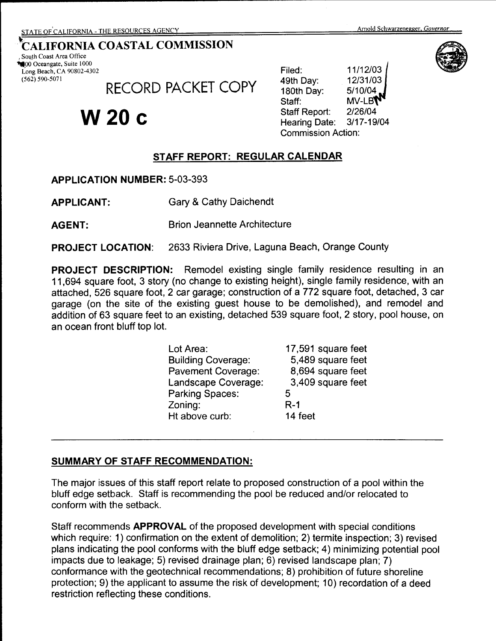# $\widehat{\bigoplus}$ ¥

# \*CALIFORNIA COASTAL COMMISSION<br>
\$000 Oceangate, Suite 1000<br> **1000 Oceangate, Suite 1000**

Long Beach, CA 90802-4302 (562) 590-5071

RECORD PACKET COPY

# **W20c**

Filed: 11/12/03<br>19th Day: 12/31/03 180th Day: 5/10/04 Staff: MV-LB**V** Staff Report: 2/26/04 Hearing Date: 3/17-19/04 Commission Action:

# **STAFF REPORT: REGULAR CALENDAR**

**APPLICATION NUMBER:** 5-03-393

**APPLICANT:** Gary & Cathy Daichendt

**AGENT:** Brion Jeannette Architecture

**PROJECT LOCATION:** 2633 Riviera Drive, Laguna Beach, Orange County

**PROJECT DESCRIPTION:** Remodel existing single family residence resulting in an 11,694 square foot, 3 story (no change to existing height), single family residence, with an attached, 526 square foot, 2 car garage; construction of a 772 square foot, detached, 3 car garage (on the site of the existing guest house to be demolished), and remodel and addition of 63 square feet to an existing, detached 539 square foot, 2 story, pool house, on an ocean front bluff top lot.

| Lot Area:                 | 17,591 square feet |
|---------------------------|--------------------|
| <b>Building Coverage:</b> | 5,489 square feet  |
| <b>Pavement Coverage:</b> | 8,694 square feet  |
| Landscape Coverage:       | 3,409 square feet  |
| <b>Parking Spaces:</b>    | 5                  |
| Zoning:                   | $R-1$              |
| Ht above curb:            | 14 feet            |
|                           |                    |

# **SUMMARY OF STAFF RECOMMENDATION:**

The major issues of this staff report relate to proposed construction of a pool within the bluff edge setback. Staff is recommending the pool be reduced and/or relocated to conform with the setback.

Staff recommends **APPROVAL** of the proposed development with special conditions which require: 1) confirmation on the extent of demolition; 2) termite inspection; 3) revised plans indicating the pool conforms with the bluff edge setback; 4) minimizing potential pool impacts due to leakage; 5) revised drainage plan; 6) revised landscape plan; 7) conformance with the geotechnical recommendations; 8) prohibition of future shoreline protection; 9) the applicant to assume the risk of development; 10) recordation of a deed restriction reflecting these conditions.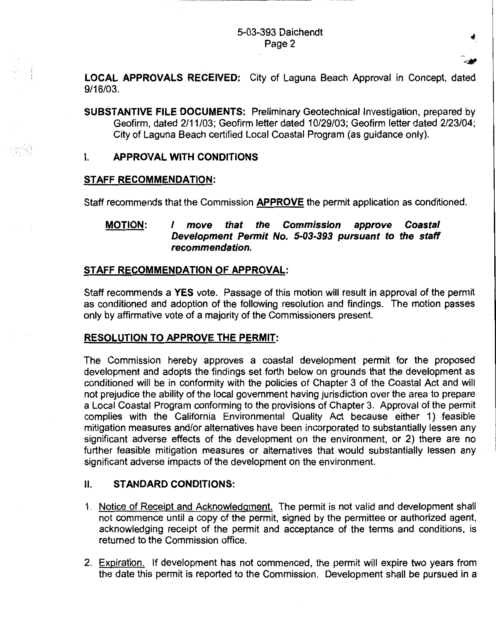#### 5-03-393 Daichendt Page 2

**LOCAL APPROVALS RECEIVED:** City of Laguna Beach Approval in Concept, dated 9/16/03.

**SUBSTANTIVE FILE DOCUMENTS:** Preliminary Geotechnical Investigation, prepared by Geofirm, dated 2/11 /03; Geofirm letter dated 1 0/29/03; Geofirm letter dated 2/23/04; City of Laguna Beach certified Local Coastal Program (as guidance only).

#### I. **APPROVAL WITH CONDITIONS**

#### **STAFF RECOMMENDATION:**

*:.* >. ,\_· <sup>~</sup>

Staff recommends that the Commission **APPROVE** the permit application as conditioned.

**MOTION:** I **move that the Commission approve Coastal Development Permit No. 5-03-393 pursuant to the staff recommendation.** 

#### **STAFF RECOMMENDATION OF APPROVAL:**

Staff recommends **a YES** vote. Passage of this motion will result in approval of the permit as conditioned and adoption of the following resolution and findings. The motion passes only by affirmative vote of a majority of the Commissioners present.

#### **RESOLUTION TO APPROVE THE PERMIT:**

The Commission hereby approves a coastal development permit for the proposed development and adopts the findings set forth below on grounds that the development as conditioned will be in conformity with the policies of Chapter 3 of the Coastal Act and will not prejudice the ability of the local government having jurisdiction over the area to prepare a Local Coastal Program conforming to the provisions of Chapter 3. Approval of the permit complies with the California Environmental Quality Act because either 1) feasible mitigation measures and/or alternatives have been incorporated to substantially lessen any significant adverse effects of the development on the environment, or 2) there are no further feasible mitigation measures or alternatives that would substantially lessen any significant adverse impacts of the development on the environment.

#### II. **STANDARD CONDITIONS:**

- 1. Notice of Receipt and Acknowledgment. The permit is not valid and development shall not commence until a copy of the permit, signed by the permittee or authorized agent, acknowledging receipt of the permit and acceptance of the terms and conditions, is returned to the Commission office.
- 2. Expiration. If development has not commenced, the permit will expire two years from the date this permit is reported to the Commission. Development shall be pursued in a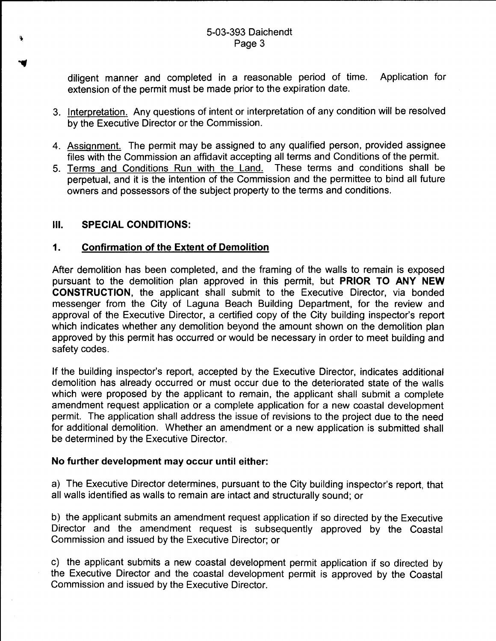diligent manner and completed in a reasonable period of time. Application for extension of the permit must be made prior to the expiration date.

- 3. Interpretation. Any questions of intent or interpretation of any condition will be resolved by the Executive Director or the Commission.
- 4. Assignment. The permit may be assigned to any qualified person, provided assignee files with the Commission an affidavit accepting all terms and Conditions of the permit.
- 5. Terms and Conditions Run with the Land. These terms and conditions shall be perpetual, and it is the intention of the Commission and the permittee to bind all future owners and possessors of the subject property to the terms and conditions.

### Ill. **SPECIAL CONDITIONS:**

### **1. Confirmation of the Extent of Demolition**

After demolition has been completed, and the framing of the walls to remain is exposed pursuant to the demolition plan approved in this permit, but **PRIOR TO ANY NEW CONSTRUCTION,** the applicant shall submit to the Executive Director, via bonded messenger from the City of Laguna Beach Building Department, for the review and approval of the Executive Director, a certified copy of the City building inspector's report which indicates whether any demolition beyond the amount shown on the demolition plan approved by this permit has occurred or would be necessary in order to meet building and safety codes.

If the building inspector's report, accepted by the Executive Director, indicates additional demolition has already occurred or must occur due to the deteriorated state of the walls which were proposed by the applicant to remain, the applicant shall submit a complete amendment request application or a complete application for a new coastal development permit. The application shall address the issue of revisions to the project due to the need for additional demolition. Whether an amendment or a new application is submitted shall be determined by the Executive Director.

#### **No further development may occur until either:**

a) The Executive Director determines, pursuant to the City building inspector's report, that all walls identified as walls to remain are intact and structurally sound; or

b) the applicant submits an amendment request application if so directed by the Executive Director and the amendment request is subsequently approved by the Coastal Commission and issued by the Executive Director; or

c) the applicant submits a new coastal development permit application if so directed by the Executive Director and the coastal development permit is approved by the Coastal Commission and issued by the Executive Director.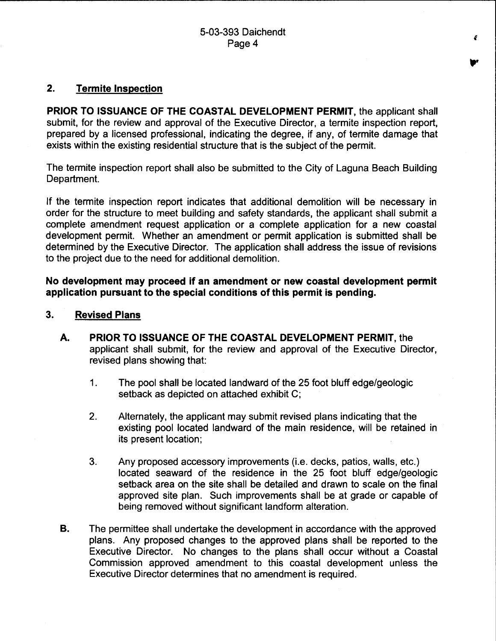#### **2. Termite Inspection**

**PRIOR TO ISSUANCE OF THE COASTAL DEVELOPMENT PERMIT,** the applicant shall submit, for the review and approval of the Executive Director, a termite inspection report, prepared by a licensed professional, indicating the degree, if any, of termite damage that exists within the existing residential structure that is the subject of the permit.

The termite inspection report shall also be submitted to the City of Laguna Beach Building Department.

If the termite inspection report indicates that additional demolition will be necessary in order for the structure to meet building and safety standards, the applicant shall submit a complete amendment request application or a complete application for a new coastal development permit. Whether an amendment or permit application is submitted shall be determined by the Executive Director. The application shall address the issue of revisions to the project due to the need for additional demolition.

**No development may proceed if an amendment or new coastal development permit application pursuant to the special conditions of this permit is pending.** 

- **3. Revised Plans** 
	- **A. PRIOR TO ISSUANCE OF THE COASTAL DEVELOPMENT PERMIT,** the applicant shall submit, for the review and approval of the Executive Director, revised plans showing that:
		- 1. The pool shall be located landward of the 25 foot bluff edge/geologic setback as depicted on attached exhibit C;
		- 2. Alternately, the applicant may submit revised plans indicating that the existing pool located landward of the main residence, will be retained in its present location;
		- 3. Any proposed accessory improvements (i.e. decks, patios, walls, etc.) located seaward of the residence in the 25 foot bluff edge/geologic setback area on the site shall be detailed and drawn to scale on the final approved site plan. Such improvements shall be at grade or capable of being removed without significant landform alteration.
	- **B.** The permittee shall undertake the development in accordance with the approved plans. Any proposed changes to the approved plans shall be reported to the Executive Director. No changes to the plans shall occur without a Coastal Commission approved amendment to this coastal development unless the Executive Director determines that no amendment is required.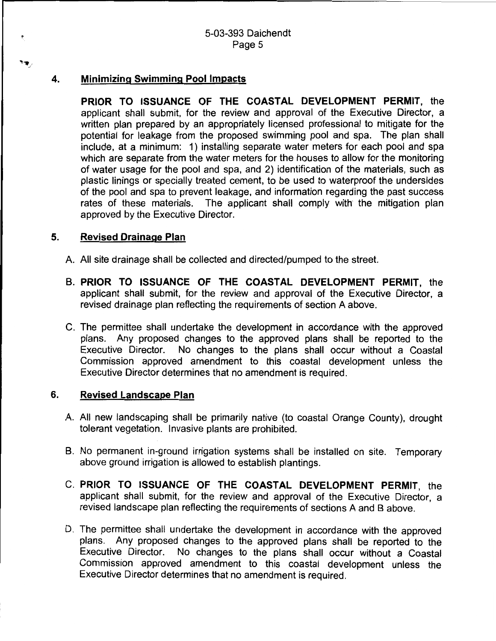#### **4. Minimizing Swimming Pool Impacts**

٩Ť,

**PRIOR TO ISSUANCE OF THE COASTAL DEVELOPMENT PERMIT,** the applicant shall submit, for the review and approval of the Executive Director, a written plan prepared by an appropriately licensed professional to mitigate for the potential for leakage from the proposed swimming pool and spa. The plan shall include, at a minimum: 1) installing separate water meters for each pool and spa which are separate from the water meters for the houses to allow for the monitoring of water usage for the pool and spa, and 2) identification of the materials, such as plastic linings or specially treated cement, to be used to waterproof the undersides of the pool and spa to prevent leakage, and information regarding the past success rates of these materials. The applicant shall comply with' the mitigation plan approved by the Executive Director.

#### **5. Revised Drainage Plan**

- A. All site drainage shall be collected and directed/pumped to the street.
- **B. PRIOR TO ISSUANCE OF THE COASTAL DEVELOPMENT PERMIT,** the applicant shall submit, for the review and approval of the Executive Director, a revised drainage plan reflecting the requirements of section A above.
- C. The permittee shall undertake the development in accordance with the approved plans. Any proposed changes to the approved plans shall be reported to the Executive Director. No changes to the plans shall occur without a Coastal Commission approved amendment to this coastal development unless the Executive Director determines that no amendment is required.

#### **6. Revised Landscape Plan**

- A. All new landscaping shall be primarily native (to coastal Orange County), drought tolerant vegetation. Invasive plants are prohibited.
- B. No permanent in-ground irrigation systems shall be installed on site. Temporary above ground irrigation is allowed to establish plantings.
- C. **PRIOR TO ISSUANCE OF THE COASTAL DEVELOPMENT PERMIT,** the applicant shall submit, for the review and approval of the Executive Director, a revised landscape plan reflecting the requirements of sections A and B above.
- D. The permittee shall undertake the development in accordance with the approved plans. Any proposed changes to the approved plans shall be reported to the Executive Director. No changes to the plans shall occur without a Coastal Commission approved amendment to this coastal development unless the Executive Director determines that no amendment is required.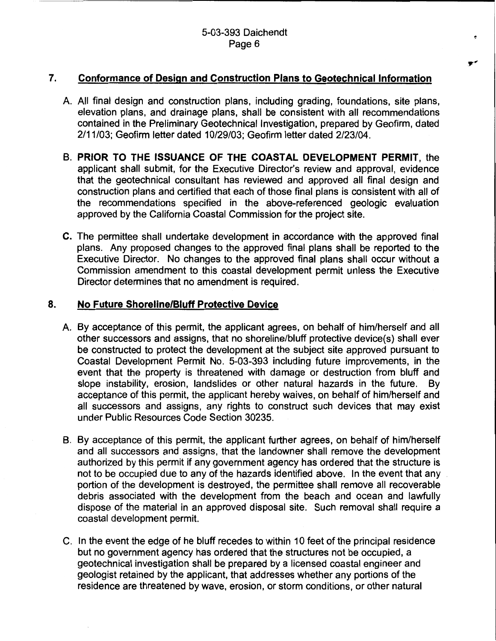#### **7. Conformance of Design and Construction Plans to Geotechnical Information**

- A. All final design and construction plans, including grading, foundations, site plans, elevation plans, and drainage plans, shall be consistent with all recommendations contained in the Preliminary Geotechnical Investigation, prepared by Geofirm, dated 2/11/03; Geofirm letter dated 10/29/03; Geofirm letter dated 2/23/04.
- **B. PRIOR TO THE ISSUANCE OF THE COASTAL DEVELOPMENT PERMIT,** the applicant shall submit, for the Executive Director's review and approval, evidence that the geotechnical consultant has reviewed and approved all final design and construction plans and certified that each of those final plans is consistent with all of the recommendations specified in the above-referenced geologic evaluation approved by the California Coastal Commission for the project site.
- **C.** The permittee shall undertake development in accordance with the approved final plans. Any proposed changes to the approved final plans shall be reported to the Executive Director. No changes to the approved final plans shall occur without a Commission amendment to this coastal development permit unless the Executive Director determines that no amendment is required.

#### **8. No Future Shoreline/Bluff Protective Device**

- A. By acceptance of this permit, the applicant agrees, on behalf of him/herself and all other successors and assigns, that no shoreline/bluff protective device(s) shall ever be constructed to protect the development at the subject site approved pursuant to Coastal Development Permit No. 5-03-393 including future improvements, in the event that the property is threatened with damage or destruction from bluff and slope instability, erosion, landslides or other natural hazards in the future. By acceptance of this permit, the applicant hereby waives, on behalf of him/herself and all successors and assigns, any rights to construct such devices that may exist under Public Resources Code Section 30235.
- B. By acceptance of this permit, the applicant further agrees, on behalf of him/herself and all successors and assigns, that the landowner shall remove the development authorized by this permit if any government agency has ordered that the structure is not to be occupied due to any of the hazards identified above. In the event that any portion of the development is destroyed, the permittee shall remove all recoverable debris associated with the development from the beach and ocean and lawfully dispose of the material in an approved disposal site. Such removal shall require a coastal development permit.
- C. In the event the edge of he bluff recedes to within 10 feet of the principal residence but no government agency has ordered that the structures not be occupied, a geotechnical investigation shall be prepared by a licensed coastal engineer and geologist retained by the applicant, that addresses whether any portions of the residence are threatened by wave, erosion, or storm conditions, or other natural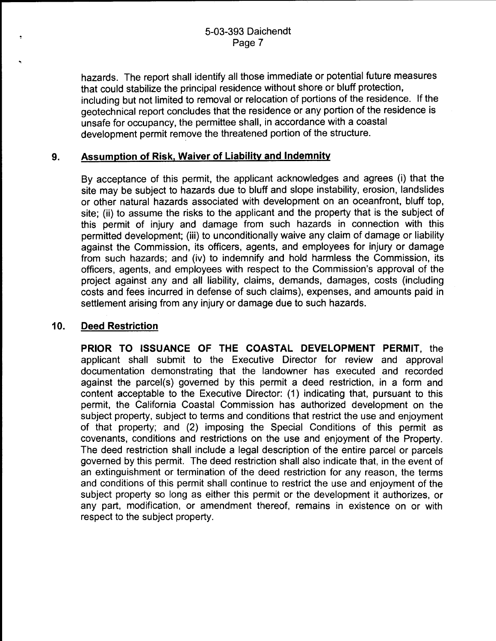hazards. The report shall identify all those immediate or potential future measures that could stabilize the principal residence without shore or bluff protection, including but not limited to removal or relocation of portions of the residence. If the geotechnical report concludes that the residence or any portion of the residence is unsafe for occupancy, the permittee shall, in accordance with a coastal development permit remove the threatened portion of the structure.

#### **9. Assumption of Risk, Waiver of Liability and Indemnity**

By acceptance of this permit, the applicant acknowledges and agrees (i) that the site may be subject to hazards due to bluff and slope instability, erosion, landslides or other natural hazards associated with development on an oceanfront, bluff top, site; (ii) to assume the risks to the applicant and the property that is the subiect of this permit of injury and damage from such hazards in connection with this permitted development; (iii) to unconditionally waive any claim of damage or liability against the Commission, its officers, agents, and employees for injury or damage from such hazards; and (iv) to indemnify and hold harmless the Commission, its officers, agents, and employees with respect to the Commission's approval of the project against any and all liability, claims, demands, damages, costs (including costs and fees incurred in defense of such claims), expenses, and amounts paid in settlement arising from any injury or damage due to such hazards.

#### **10. Deed Restriction**

**PRIOR TO ISSUANCE OF THE COASTAL DEVELOPMENT PERMIT,** the applicant shall submit to the Executive Director for review and approval documentation demonstrating that the landowner has executed and recorded against the parcel(s) governed by this permit a deed restriction, in a form and content acceptable to the Executive Director: (1) indicating that, pursuant to this permit, the California Coastal Commission has authorized development on the subject property, subject to terms and conditions that restrict the use and enjoyment of that property; and (2) imposing the Special Conditions of this permit as covenants, conditions and restrictions on the use and enjoyment of the Property. The deed restriction shall include a legal description of the entire parcel or parcels governed by this permit. The deed restriction shall also indicate that, in the event of an extinguishment or termination of the deed restriction for any reason, the terms and conditions of this permit shall continue to restrict the use and enjoyment of the subject property so long as either this permit or the development it authorizes, or any part, modification, or amendment thereof, remains in existence on or with respect to the subject property.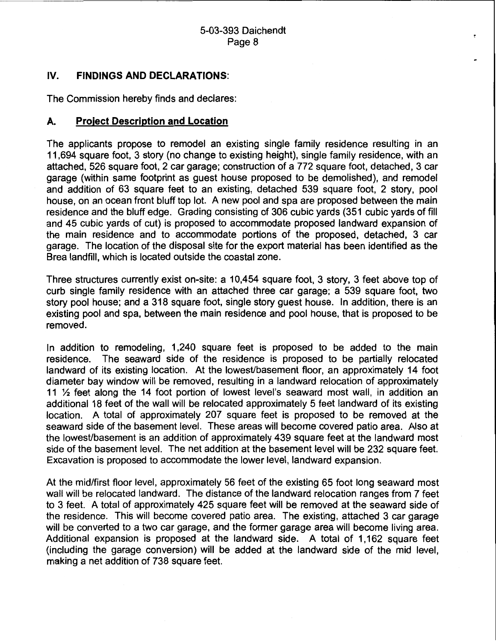## IV. **FINDINGS AND DECLARATIONS:**

The Commission hereby finds and declares:

#### **A. Project Description and Location**

The applicants propose to remodel an existing single family residence resulting in an 11 ,694 square foot, 3 story (no change to existing height), single family residence, with an attached, 526 square foot, 2 car garage; construction of a 772 square foot, detached, 3 car garage (within same footprint as guest house proposed to be demolished), and remodel and addition of 63 square feet to an existing, detached 539 square foot, 2 story, pool house, on an ocean front bluff top lot. A new pool and spa are proposed between the main residence and the bluff edge. Grading consisting of 306 cubic yards (351 cubic yards of fill and 45 cubic yards of cut) is proposed to accommodate proposed landward expansion of the main residence and to accommodate portions of the proposed, detached, 3 car garage. The location of the disposal site for the export material has been identified as the Brea landfill, which is located outside the coastal zone.

Three structures currently exist on-site: a 10,454 square foot, 3 story, 3 feet above top of curb single family residence with an attached three car garage; a 539 square foot, two story pool house; and a 318 square foot, single story guest house. In addition, there is an existing pool and spa, between the main residence and pool house, that is proposed to be removed.

In addition to remodeling, 1,240 square feet is proposed to be added to the main residence. The seaward side of the residence is proposed to be partially relocated landward of its existing location. At the lowest/basement floor, an approximately 14 foot diameter bay window will be removed, resulting in a landward relocation of approximately 11 % feet along the 14 foot portion of lowest level's seaward most wall, in addition an additional 18 feet of the wall will be relocated approximately 5 feet landward of its existing location. A total of approximately 207 square feet is proposed to be removed at the seaward side of the basement level. These areas will become covered patio area. Also at the lowest/basement is an addition of approximately 439 square feet at the landward most side of the basement level. The net addition at the basement level will be 232 square feet. Excavation is proposed to accommodate the lower level, landward expansion.

At the mid/first floor level, approximately 56 feet of the existing 65 foot long seaward most wall will be relocated landward. The distance of the landward relocation ranges from 7 feet to 3 feet. A total of approximately 425 square feet will be removed at the seaward side of the residence. This will become covered patio area. The existing, attached 3 car garage will be converted to a two car garage, and the former garage area will become living area. Additional expansion is proposed at the landward side. A total of 1,162 square feet (including the garage conversion) will be added at the landward side of the mid level, making a net addition of 738 square feet.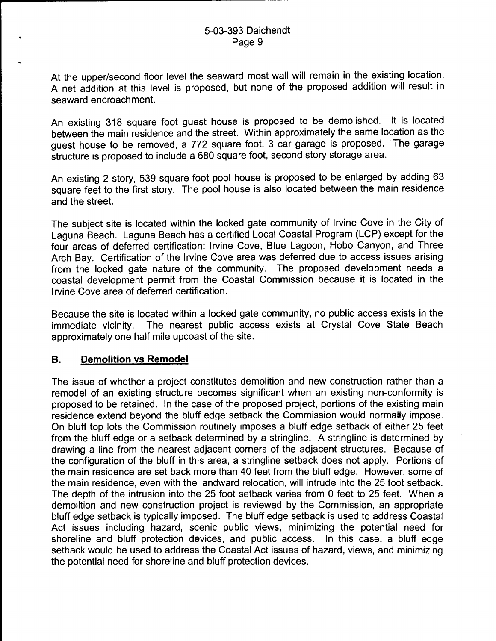At the upper/second floor level the seaward most wall will remain in the existing location. A net addition at this level is proposed, but none of the proposed addition will result in seaward encroachment.

An existing 318 square foot guest house is proposed to be demolished. It is located between the main residence and the street. Within approximately the same location as the guest house to be removed, a 772 square foot, 3 car garage is proposed. The garage structure is proposed to include a 680 square foot, second story storage area.

An existing 2 story, 539 square foot pool house is proposed to be enlarged by adding 63 square feet to the first story. The pool house is also located between the main residence and the street.

The subject site is located within the locked gate community of Irvine Cove in the City of Laguna Beach. Laguna Beach has a certified Local Coastal Program (LCP) except for the four areas of deferred certification: Irvine Cove, Blue Lagoon, Hobo Canyon, and Three Arch Bay. Certification of the Irvine Cove area was deferred due to access issues arising from the locked gate nature of the community. The proposed development needs a coastal development permit from the Coastal Commission because it is located in the Irvine Cove area of deferred certification.

Because the site is located within a locked gate community, no public access exists in the immediate vicinity. The nearest public access exists at Crystal Cove State Beach approximately one half mile upcoast of the site.

# **B. Demolition vs Remodel**

The issue of whether a project constitutes demolition and new construction rather than a remodel of an existing structure becomes significant when an existing non-conformity is proposed to be retained. In the case of the proposed project, portions of the existing main residence extend beyond the bluff edge setback the Commission would normally impose. On bluff top lots the Commission routinely imposes a bluff edge setback of either 25 feet from the bluff edge or a setback determined by a stringline. A stringline is determined by drawing a line from the nearest adjacent corners of the adjacent structures. Because of the configuration of the bluff in this area, a stringline setback does not apply. Portions of the main residence are set back more than 40 feet from the bluff edge. However, some of the main residence, even with the landward relocation, will intrude into the 25 foot setback. The depth of the intrusion into the 25 foot setback varies from 0 feet to 25 feet. When a demolition and new construction project is reviewed by the Commission, an appropriate bluff edge setback is typically imposed. The bluff edge setback is used to address Coastal Act issues including hazard, scenic public views, minimizing the potential need for shoreline and bluff protection devices, and public access. In this case, a bluff edge setback would be used to address the Coastal Act issues of hazard, views, and minimizing the potential need for shoreline and bluff protection devices.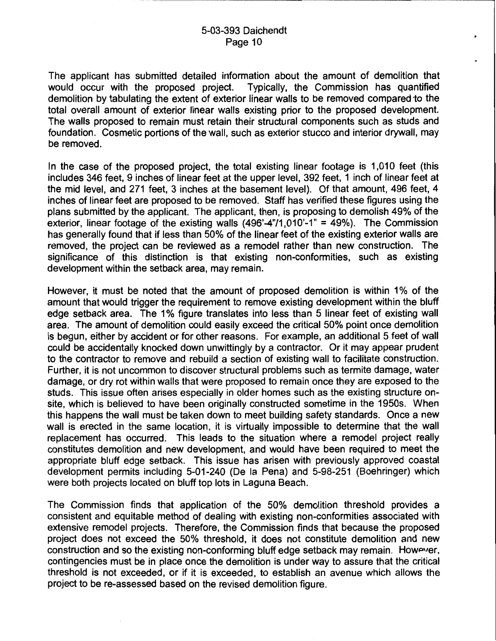The applicant has submitted detailed information about the amount of demolition that would occur with the proposed project. Typically, the Commission has quantified demolition by tabulating the extent of exterior linear walls to be removed compared 'to the total overall amount of exterior linear walls existing prior to the proposed development. The walls proposed to remain must retain their structural components such as studs and foundation. Cosmetic portions of the wall, such as exterior stucco and interior drywall, may be removed.

In the case of the proposed project, the total existing linear footage is 1,010 feet (this includes 346 feet, 9 inches of linear feet at the upper level, 392 feet, 1 inch of linear feet at the mid level, and 271 feet, 3 inches at the basement level). Of that amount, 496 feet, 4 inches of linear feet are proposed to be removed. Staff has verified these figures using the plans submitted by the applicant. The applicant, then, is proposing to demolish 49% of the exterior, linear footage of the existing walls  $(496' - 4''/1,010' - 1'' = 49%)$ . The Commission has generally found that if less than 50% of the linear feet of the existing exterior walls are removed, the project can be reviewed as a remodel rather than new construction. The significance of this distinction is that existing non-conformities, such as existing development within the setback area, may remain.

However, it must be noted that the amount of proposed demolition is within 1% of the amount that would trigger the requirement to remove existing development within the bluff edge setback area. The 1% figure translates into less than 5 linear feet of existing wall area. The amount of demolition could easily exceed the critical 50% point once demolition is begun, either by accident or for other reasons. For example, an additional 5 feet of wall could be accidentally knocked down unwittingly by a contractor. Or it may appear prudent to the contractor to remove and rebuild a section of existing wall to facilitate construction. Further, it is not uncommon to discover structural problems such as termite damage, water damage, or dry rot within walls that were proposed to remain once they are exposed to the studs. This issue often arises especially in older homes such as the existing structure onsite, which is believed to have been originally constructed sometime in the 1950s. When this happens the wall must be taken down to meet building safety standards. Once a new wall is erected in the same location, it is virtually impossible to determine that the wall replacement has occurred. This leads to the situation where a remodel project really constitutes demolition and new development, and would have been required to meet the appropriate bluff edge setback. This issue has arisen with previously approved coastal development permits including 5-01-240 (De Ia Pena) and 5-98-251 (Boehringer) which were both projects located on bluff top lots in Laguna Beach.

The Commission finds that application of the 50% demolition threshold provides a consistent and equitable method of dealing with existing non-conformities associated with extensive remodel projects. Therefore, the Commission finds that because the proposed project does not exceed the 50% threshold, it does not constitute demolition and new construction and so the existing non-conforming bluff edge setback may remain. However, contingencies must be in place once the demolition is under way to assure that the critical threshold is not exceeded, or if it is exceeded, to establish an avenue which allows the project to be re-assessed based on the revised demolition figure.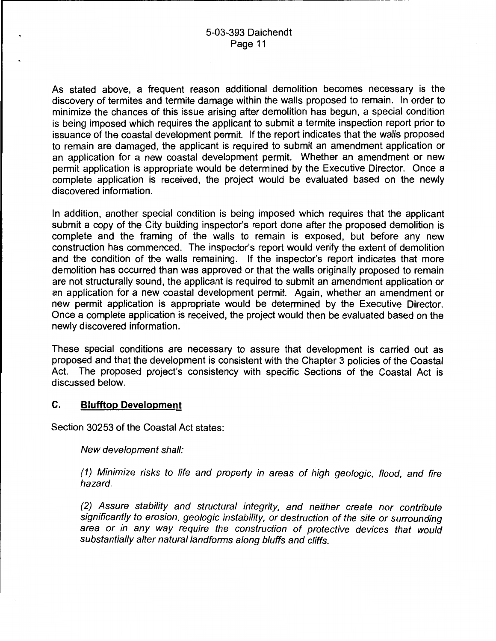.....--------------------------------------

As stated above, a frequent reason additional demolition becomes necessary is the discovery of termites and termite damage within the walls proposed to remain. In order to minimize the chances of this issue arising after demolition has begun, a special condition is being imposed which requires the applicant to submit a termite inspection report prior to issuance of the coastal development permit. If the report indicates that the walls proposed to remain are damaged, the applicant is required to submit an amendment application or an application for a new coastal development permit. Whether an amendment or new permit application is appropriate would be determined by the Executive Director. Once a complete application is received, the project would be evaluated based on the newly discovered information.

In addition, another special condition is being imposed which requires that the applicant submit a copy of the City building inspector's report done after the proposed demolition is complete and the framing of the walls to remain is exposed, but before any new construction has commenced. The inspector's report would verify the extent of demolition and the condition of the walls remaining. If the inspector's report indicates that more demolition has occurred than was approved or that the walls originally proposed to remain are not structurally sound, the applicant is required to submit an amendment application or an application for a new coastal development permit. Again, whether an amendment or new permit application is appropriate would be determined by the Executive Director. Once a complete application is received, the project would then be evaluated based on the newly discovered information.

These special conditions are necessary to assure that development is carried out as proposed and that the development is consistent with the Chapter 3 policies of the Coastal Act. The proposed project's consistency with specific Sections of the Coastal Act is discussed below.

#### **C. Blufftop Development**

Section 30253 of the Coastal Act states:

New development shall:

(1) Minimize risks to life and property in areas of high geologic, flood, and fire hazard.

(2) Assure stability and structural integrity, and neither create nor contribute significantly to erosion, geologic instability, or destruction of the site or surrounding area or in any way require the construction of protective devices that would substantially alter natural landforms along bluffs and cliffs.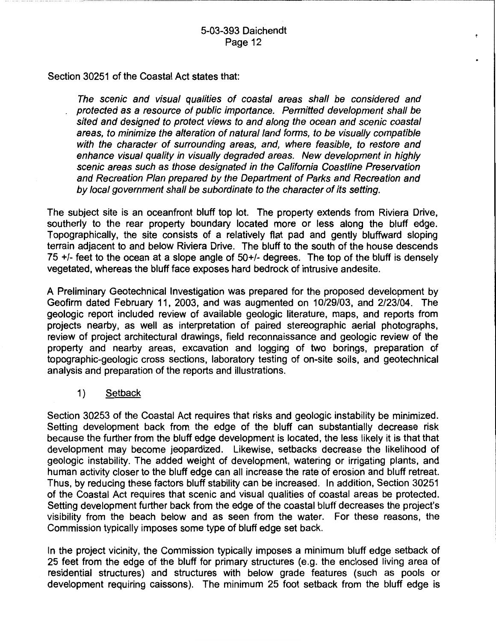÷

Section 30251 of the Coastal Act states that:

The scenic and visual qualities of coastal areas shall be considered and protected as a resource of public importance. Permitted development shall be sited and designed to protect views to and along the ocean and scenic coastal areas, to minimize the alteration of natural land forms, to be visually compatible with the character of surrounding areas, and, where feasible, to restore and enhance visual quality in visually degraded areas. New development in highly scenic areas such as those designated in the California Coastline Preservation and Recreation Plan prepared by the Department of Parks and Recreation and by local government shall be subordinate to the character of its setting.

The subject site is an oceanfront bluff top lot. The property extends from Riviera Drive, southerly to the rear property boundary located more or less along the bluff edge. Topographically, the site consists of a relatively flat pad and gently bluffward sloping terrain adjacent to and below Riviera Drive. The bluff to the south of the house descends 75  $+/-$  feet to the ocean at a slope angle of  $50+/$ - degrees. The top of the bluff is densely vegetated, whereas the bluff face exposes hard bedrock of intrusive andesite.

A Preliminary Geotechnical Investigation was prepared for the proposed development by Geofirm dated February 11, 2003, and was augmented on 10/29/03, and 2/23/04. The geologic report included review of available geologic literature, maps, and reports from projects nearby, as well as interpretation of paired stereographic aerial photographs, review of project architectural drawings, field reconnaissance and geologic review of the property and nearby areas, excavation and logging of two borings, preparation of topographic-geologic cross sections, laboratory testing of on-site soils, and geotechnical analysis and preparation of the reports and illustrations.

1) Setback

Section 30253 of the Coastal Act requires that risks and geologic instability be minimized. Setting development back from the edge of the bluff can substantially decrease risk because the further from the bluff edge development is located, the less likely it is that that development may become jeopardized. Likewise, setbacks decrease the likelihood of geologic instability. The added weight of development, watering or irrigating plants, and human activity closer to the bluff edge can all increase the rate of erosion and bluff retreat. Thus, by reducing these factors bluff stability can be increased. In addition, Section 30251 of the Coastal Act requires that scenic and visual qualities of coastal areas be protected. Setting development further back from the edge of the coastal bluff decreases the project's visibility from the beach below and as seen from the water. For these reasons, the Commission typically imposes some type of bluff edge set back.

In the project vicinity, the Commission typically imposes a minimum bluff edge setback of 25 feet from the edge of the bluff for primary structures (e.g. the enclosed living area of residential structures) and structures with below grade features (such as pools or development requiring caissons). The minimum 25 foot setback from the bluff edge is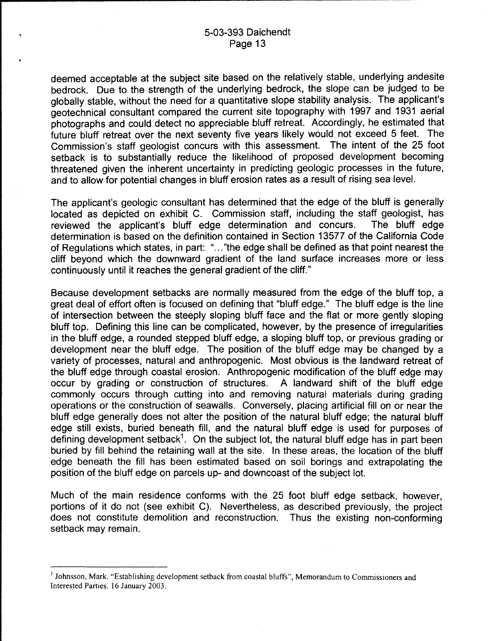-------------------------------~--~~---~~~-

deemed acceptable at the subject site based on the relatively stable, underlying andesite bedrock. Due to the strength of the underlying bedrock, the slope can be judged to be globally stable, without the need for a quantitative slope stability analysis. The applicant's geotechnical consultant compared the current site topography with 1997 and 1931 aerial photographs and could detect no appreciable bluff retreat. Accordingly, he estimated that future bluff retreat over the next seventy five years likely would not exceed 5 feet. The Commission's staff geologist concurs with this assessment. The intent of the 25 foot setback is to substantially reduce the likelihood of proposed development becoming threatened given the inherent uncertainty in predicting geologic processes in the future, and to allow for potential changes in bluff erosion rates as a result of rising sea level.

The applicant's geologic consultant has determined that the edge of the bluff is generally located as depicted on exhibit C. Commission staff, including the staff geologist, has reviewed the applicant's bluff edge determination and concurs. The bluff edge determination is based on the definition contained in Section 13577 of the California Code of Regulations which states, in part: " ... "the edge shall be defined as that point nearest the cliff beyond which the downward gradient of the land surface increases more or less continuously until it reaches the general gradient of the cliff."

Because development setbacks are normally measured from the edge of the bluff top, a great deal of effort often is focused on defining that "bluff edge." The bluff edge is the line of intersection between the steeply sloping bluff face and the flat or more gently sloping bluff top. Defining this line can be complicated, however, by the presence of irregularities in the bluff edge, a rounded stepped bluff edge, a sloping bluff top, or previous grading or development near the bluff edge. The position of the bluff edge may be changed by a variety of processes, natural and anthropogenic. Most obvious is the landward retreat of the bluff edge through coastal erosion. Anthropogenic modification of the bluff edge may occur by grading or construction of structures. A landward shift of the bluff edge commonly occurs through cutting into and removing natural materials during grading operations or the construction of seawalls. Conversely, placing artificial fill on or near the bluff edge generally does not alter the position of the natural bluff edge; the natural bluff edge still exists, buried beneath fill, and the natural bluff edge is used for purposes of defining development setback<sup>1</sup>. On the subject lot, the natural bluff edge has in part been buried by fill behind the retaining wall at the site. In these areas, the location of the bluff edge beneath the fill has been estimated based on soil borings and extrapolating the position of the bluff edge on parcels up- and downcoast of the subject lot.

Much of the main residence conforms with the 25 foot bluff edge setback, however, portions of it do not (see exhibit C). Nevertheless, as described previously, the project does not constitute demolition and reconstruction. Thus the existing non-conforming setback may remain.

<sup>&</sup>lt;sup>1</sup> Johnsson, Mark. "Establishing development setback from coastal bluffs", Memorandum to Commissioners and Interested Parties. 16 January 2003.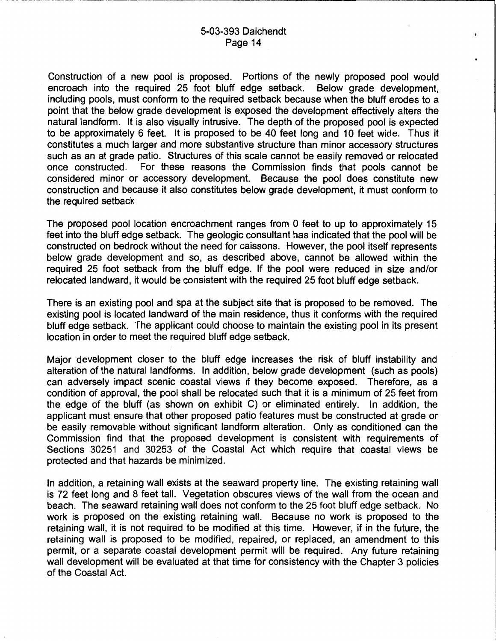---~--~-~~-~----------------------------------.

 $\ddot{\bullet}$ 

Construction of a new pool is proposed. Portions of the newly proposed pool would encroach into the required 25 foot bluff edge setback. Below grade development. encroach into the required 25 foot bluff edge setback. including pools, must conform to the required setback because when the bluff erodes to a point that the below grade development is exposed the development effectively alters the natural landform. It is also visually intrusive. The depth of the proposed pool is expected to be approximately 6 feet. It is proposed to be 40 feet long and 10 feet wide. Thus it constitutes a much larger and more substantive structure than minor accessory structures such as an at grade patio. Structures of this scale cannot be easily removed or relocated once constructed. For these reasons the Commission finds that pools cannot be considered minor or accessory development. Because the pool does constitute new construction and because it also constitutes below grade development, it must conform to the required setback

The proposed pool location encroachment ranges from 0 feet to up to approximately 15 feet into the bluff edge setback. The geologic consultant has indicated that the pool will be constructed on bedrock without the need for caissons. However, the pool itself represents below grade development and so, as described above, cannot be allowed within the required 25 foot setback from the bluff edge. If the pool were reduced in size and/or relocated landward, it would be consistent with the required 25 foot bluff edge setback.

There is an existing pool and spa at the subject site that is proposed to be removed. The existing pool is located landward of the main residence, thus it conforms with the required bluff edge setback. The applicant could choose to maintain the existing pool in its present location in order to meet the required bluff edge setback.

Major development closer to the bluff edge increases the risk of bluff instability and alteration of the natural landforms. In addition, below grade development (such as pools) can adversely impact scenic coastal views if they become exposed. Therefore, as a condition of approval, the pool shall be relocated such that it is a minimum of 25 feet from the edge of the bluff (as shown on exhibit C) or eliminated entirely. In addition, the applicant must ensure that other proposed patio features must be constructed at grade or be easily removable without significant landform alteration. Only as conditioned can the Commission find that the proposed development is consistent with requirements of Sections 30251 and 30253 of the Coastal Act which require that coastal views be protected and that hazards be minimized.

In addition, a retaining wall exists at the seaward property line. The existing retaining wall is 72 feet long and 8 feet tall. Vegetation obscures views of the wall from the ocean and beach. The seaward retaining wall does not conform to the 25 foot bluff edge setback. No work is proposed on the existing retaining wall. Because no work is proposed to the retaining wall, it is not required to be modified at this time. However, if in the future, the retaining wall is proposed to be modified, repaired, or replaced, an amendment to this permit, or a separate coastal development permit will be required. Any future retaining wall development will be evaluated at that time for consistency with the Chapter 3 policies of the Coastal Act.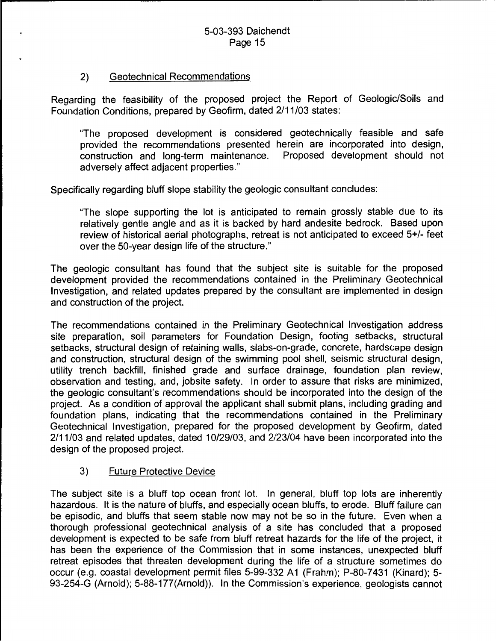## 2) Geotechnical Recommendations

Regarding the feasibility of the proposed project the Report of Geologic/Soils and Foundation Conditions, prepared by Geofirm, dated 2/11/03 states:

"The proposed development is considered geotechnically feasible and safe provided the recommendations presented herein are incorporated into design, construction and long-term maintenance. Proposed development should not adversely affect adjacent properties."

Specifically regarding bluff slope stability the geologic consultant concludes:

"The slope supporting the lot is anticipated to remain grossly stable due to its relatively gentle angle and as it is backed by hard andesite bedrock. Based upon review of historical aerial photographs, retreat is not anticipated to exceed 5+/- feet over the 50-year design life of the structure."

The geologic consultant has found that the subject site is suitable for the proposed development provided the recommendations contained in the Preliminary Geotechnical Investigation, and related updates prepared by the consultant are implemented in design and construction of the project.

The recommendations contained in the Preliminary Geotechnical Investigation address site preparation, soil parameters for Foundation Design, footing setbacks, structural setbacks, structural design of retaining walls, slabs-on-grade, concrete, hardscape design and construction, structural design of the swimming pool shell, seismic structural design, utility trench backfill, finished grade and surface drainage, foundation plan review, observation and testing, and, jobsite safety. In order to assure that risks are minimized, the geologic consultant's recommendations should be incorporated into the design of the project. As a condition of approval the applicant shall submit plans, including grading and foundation plans, indicating that the recommendations contained in the Preliminary Geotechnical Investigation, prepared for the proposed development by Geofirm, dated 2/11/03 and related updates, dated 10/29/03, and 2/23/04 have been incorporated into the design of the proposed project.

#### 3) Future Protective Device

The subject site is a bluff top ocean front lot. In general, bluff top lots are inherently hazardous. It is the nature of bluffs, and especially ocean bluffs, to erode. Bluff failure can be episodic, and bluffs that seem stable now may not be so in the future. Even when a thorough professional geotechnical analysis of a site has concluded that a proposed development is expected to be safe from bluff retreat hazards for the life of the project, it has been the experience of the Commission that in some instances, unexpected bluff retreat episodes that threaten development during the life of a structure sometimes do occur (e.g. coastal development permit files 5-99-332 A1 (Frahm); P-80-7431 (Kinard); 5- 93-254-G (Arnold); 5-88-177(Arnold)). In the Commission's experience, geologists cannot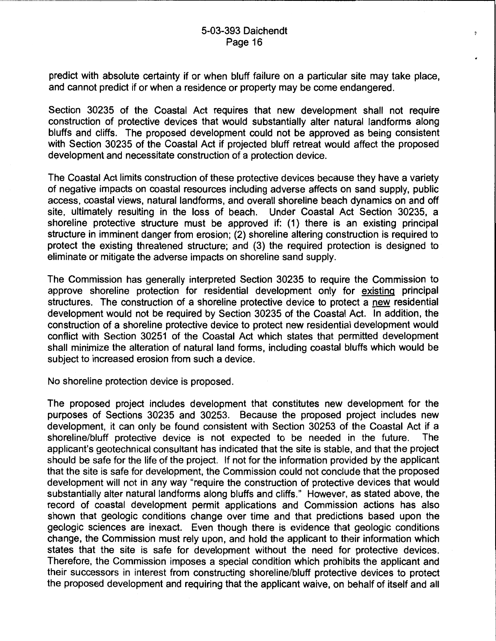$\ddot{2}$ 

predict with absolute certainty if or when bluff failure on a particular site may take place, and cannot predict if or when a residence or property may be come endangered.

Section 30235 of the Coastal Act requires that new development shall not require construction of protective devices that would substantially alter natural landforms along bluffs and cliffs. The proposed development could not be approved as being consistent with Section 30235 of the Coastal Act if projected bluff retreat would affect the proposed development and necessitate construction of a protection device.

The Coastal Act limits construction of these protective devices because they have a variety of negative impacts on coastal resources including adverse affects on sand supply, public access, coastal views, natural landforms, and overall shoreline beach dynamics on and off site, ultimately resulting in the loss of beach. Under Coastal Act Section 30235, a shoreline protective structure must be approved if: (1) there is an existing principal structure in imminent danger from erosion; (2) shoreline altering construction is required to protect the existing threatened structure; and (3) the required protection is designed to eliminate or mitigate the adverse impacts on shoreline sand supply.

The Commission has generally interpreted Section 30235 to require the Commission to approve shoreline protection for residential development only for existing principal structures. The construction of a shoreline protective device to protect a new residential development would not be required by Section 30235 of the Coastal Act. In addition, the construction of a shoreline protective device to protect new residential development would conflict with Section 30251 of the Coastal Act which states that permitted development shall minimize the alteration of natural land forms, including coastal bluffs which would be subject to increased erosion from such a device.

No shoreline protection device is proposed.

The proposed project includes development that constitutes new development for the purposes of Sections 30235 and 30253. Because the proposed project includes new development, it can only be found consistent with Section 30253 of the Coastal Act if a shoreline/bluff protective device is not expected to be needed in the future. The applicant's geotechnical consultant has indicated that the site is stable, and that the project should be safe for the life of the project. If not for the information provided by the applicant that the site is safe for development, the Commission could not conclude that the proposed development will not in any way "require the construction of protective devices that would substantially alter natural landforms along bluffs and cliffs." However, as stated above, the record of coastal development permit applications and Commission actions has also shown that geologic conditions change over time and that predictions based upon the geologic sciences are inexact. Even though there is evidence that geologic conditions change, the Commission must rely upon, and hold the applicant to their information which states that the site is safe for development without the need for protective devices. Therefore, the Commission imposes a special condition which prohibits the applicant and their successors in interest from constructing shoreline/bluff protective devices to protect the proposed development and requiring that the applicant waive, on behalf of itself and all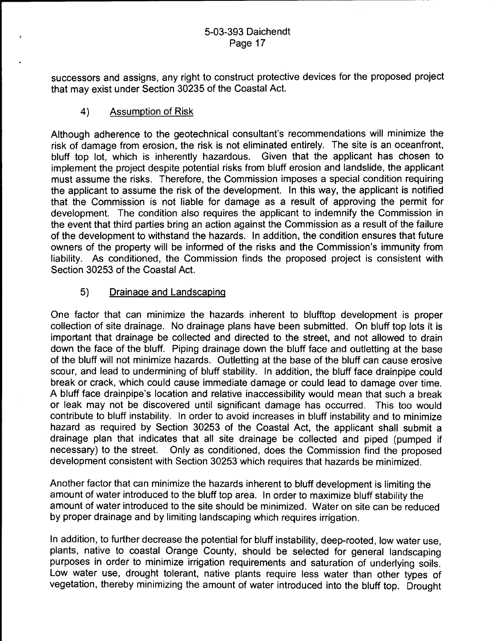successors and assigns, any right to construct protective devices for the proposed project that may exist under Section 30235 of the Coastal Act.

# 4) Assumption of Risk

Although adherence to the geotechnical consultant's recommendations will minimize the risk of damage from erosion, the risk is not eliminated entirely. The site is an oceanfront, bluff top lot, which is inherently hazardous. Given that the applicant has chosen to implement the project despite potential risks from bluff erosion and landslide, the applicant must assume the risks. Therefore, the Commission imposes a special condition requiring the applicant to assume the risk of the development. In this way, the applicant is notified that the Commission is not liable for damage as a result of approving the permit for development. The condition also requires the applicant to indemnify the Commission in the event that third parties bring an action against the Commission as a result of the failure of the development to withstand the hazards. In addition, the condition ensures that future owners of the property will be informed of the risks and the Commission's immunity from liability. As conditioned, the Commission finds the proposed project is consistent with Section 30253 of the Coastal Act.

# 5) Drainage and Landscaping

One factor that can minimize the hazards inherent to blufftop development is proper collection of site drainage. No drainage plans have been submitted. On bluff top lots it is important that drainage be collected and directed to the street, and not allowed to drain down the face of the bluff. Piping drainage down the bluff face and outletting at the base of the bluff will not minimize hazards. Outletting at the base of the bluff can cause erosive scour, and lead to undermining of bluff stability. In addition, the bluff face drainpipe could break or crack, which could cause immediate damage or could lead to damage over time. A bluff face drainpipe's location and relative inaccessibility would mean that such a break or leak may not be discovered until significant damage has occurred. This too would contribute to bluff instability. In order to avoid increases in bluff instability and to minimize hazard as required by Section 30253 of the Coastal Act, the applicant shall submit a drainage plan that indicates that all site drainage be collected and piped (pumped if necessary) to the street. Only as conditioned, does the Commission find the proposed development consistent with Section 30253 which requires that hazards be minimized.

Another factor that can minimize the hazards inherent to bluff development is limiting the amount of water introduced to the bluff top area. In order to maximize bluff stability the amount of water introduced to the site should be minimized. Water on site can be reduced by proper drainage and by limiting landscaping which requires irrigation.

In addition, to further decrease the potential for bluff instability, deep-rooted, low water use, plants, native to coastal Orange County, should be selected for general landscaping purposes in order to minimize irrigation requirements and saturation of underlying soils. Low water use, drought tolerant, native plants require less water than other types of vegetation, thereby minimizing the amount of water introduced into the bluff top. Drought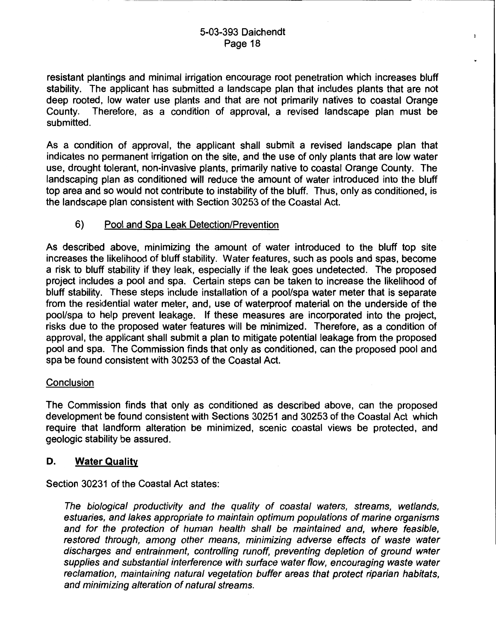$\ddot{ }$ 

resistant plantings and minimal irrigation encourage root penetration which increases bluff stability. The applicant has submitted a landscape plan that includes plants that are not deep rooted, low water use plants and that are not primarily natives to coastal Orange County. Therefore, as a condition of approval, a revised landscape plan must be submitted.

As a condition of approval, the applicant shall submit a revised landscape plan that indicates no permanent irrigation on the site, and the use of only plants that are low water use, drought tolerant, non-invasive plants, primarily native to coastal Orange County. The landscaping plan as conditioned will reduce the amount of water introduced into the bluff top area and so would not contribute to instability of the bluff. Thus, only as conditioned, is the landscape plan consistent with Section 30253 of the Coastal Act.

#### 6) Pool and Spa Leak Detection/Prevention

As described above, minimizing the amount of water introduced to the bluff top site increases the likelihood of bluff stability. Water features, such as pools and spas, become a risk to bluff stability if they leak, especially if the leak goes undetected. The proposed project includes a pool and spa. Certain steps can be taken to increase the likelihood of bluff stability. These steps include installation of a pool/spa water meter that is separate from the residential water meter, and, use of waterproof material on the underside of the pool/spa to help prevent leakage. If these measures are incorporated into the project, risks due to the proposed water features will be minimized. Therefore, as a condition of approval, the applicant shall submit a plan to mitigate potential leakage from the proposed pool and spa. The Commission finds that only as conditioned, can the proposed pool and spa be found consistent with 30253 of the Coastal Act.

#### **Conclusion**

The Commission finds that only as conditioned as described above, can the proposed development be found consistent with Sections 30251 and 30253 of the Coastal Act which require that landform alteration be minimized, scenic coastal views be protected, and geologic stability be assured.

#### D. Water Quality

Section 30231 of the Coastal Act states:

The biological productivity and the quality of coastal waters, streams, wetlands, estuaries, and lakes appropriate to maintain optimum populations of marine organisms and for the protection of human health shall be maintained and, where feasible, restored through, among other means, minimizing adverse effects of waste water discharges and entrainment, controlling runoff, preventing depletion of ground water supplies and substantial interference with surface water flow, encouraging waste water reclamation, maintaining natural vegetation buffer areas that protect riparian habitats, and minimizing alteration of natural streams.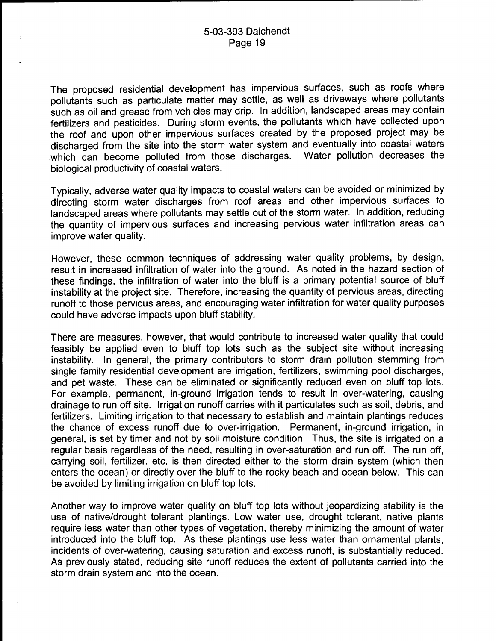The proposed residential development has impervious surfaces, such as roofs where pollutants such as particulate matter may settle, as well as driveways where pollutants such as oil and grease from vehicles may drip. In addition, landscaped areas may contain fertilizers and pesticides. During storm events, the pollutants which have collected upon the roof and upon other impervious surfaces created by the proposed project may be discharged from the site into the storm water system and eventually into coastal waters which can become polluted from those discharges. Water pollution decreases the biological productivity of coastal waters.

Typically, adverse water quality impacts to coastal waters can be avoided or minimized by directing storm water discharges from roof areas and other impervious surfaces to landscaped areas where pollutants may settle out of the storm water. In addition, reducing the quantity of impervious surfaces and increasing pervious water infiltration areas can improve water quality.

However, these common techniques of addressing water quality problems, by design, result in increased infiltration of water into the ground. As noted in the hazard section of these findings, the infiltration of water into the bluff is a primary potential source of bluff instability at the project site. Therefore, increasing the quantity of pervious areas, directing runoff to those pervious areas, and encouraging water infiltration for water quality purposes could have adverse impacts upon bluff stability.

There are measures, however, that would contribute to increased water quality that could feasibly be applied even to bluff top lots such as the subject site without increasing instability. In general, the primary contributors to storm drain pollution stemming from single family residential development are irrigation, fertilizers, swimming pool discharges, and pet waste. These can be eliminated or significantly reduced even on bluff top lots. For example, permanent, in-ground irrigation tends to result in over-watering, causing drainage to run off site. Irrigation runoff carries with it particulates such as soil, debris, and fertilizers. Limiting irrigation to that necessary to establish and maintain plantings reduces the chance of excess runoff due to over-irrigation. Permanent, in-ground irrigation, in general, is set by timer and not by soil moisture condition. Thus, the site is irrigated on a regular basis regardless of the need, resulting in over-saturation and run off. The run off, carrying soil, fertilizer, etc, is then directed either to the storm drain system (which then enters the ocean) or directly over the bluff to the rocky beach and ocean below. This can be avoided by limiting irrigation on bluff top lots.

Another way to improve water quality on bluff top lots without jeopardizing stability is the use of native/drought tolerant plantings. Low water use, drought tolerant, native plants require less water than other types of vegetation, thereby minimizing the amount of water introduced into the bluff top. As these plantings use less water than ornamental plants, incidents of over-watering, causing saturation and excess runoff, is substantially reduced. As previously stated, reducing site runoff reduces the extent of pollutants carried into the storm drain system and into the ocean.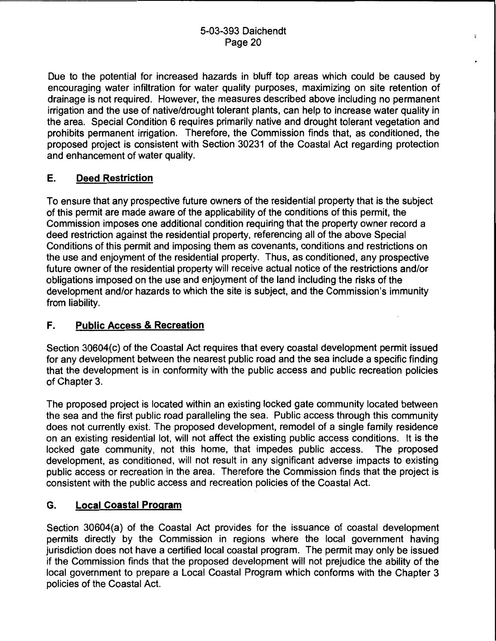Due to the potential for increased hazards in bluff top areas which could be caused by encouraging water infiltration for water quality purposes, maximizing on site retention of drainage is not required. However, the measures described above including no permanent irrigation and the use of native/drought tolerant plants, can help to increase water quality in the area. Special Condition 6 requires primarily native and drought tolerant vegetation and prohibits permanent irrigation. Therefore, the Commission finds that, as conditioned, the proposed project is consistent with Section 30231 of the Coastal Act regarding protection and enhancement of water quality.

# E. Deed Restriction

To ensure that any prospective future owners of the residential property that is the subject of this permit are made aware of the applicability of the conditions of this permit, the Commission imposes one additional condition requiring that the property owner record a deed restriction against the residential property, referencing all of the above Special Conditions of this permit and imposing them as covenants, conditions and restrictions on the use and enjoyment of the residential property. Thus, as conditioned, any prospective future owner of the residential property will receive actual notice of the restrictions and/or obligations imposed on the use and enjoyment of the land including the risks of the development and/or hazards to which the site is subject, and the Commission's immunity from liability.

# F. Public Access & Recreation

Section 30604(c) of the Coastal Act requires that every coastal development permit issued for any development between the nearest public road and the sea include a specific finding that the development is in conformity with the public access and public recreation policies of Chapter 3.

The proposed project is located within an existing locked gate community located between the sea and the first public road paralleling the sea. Public access through this community does not currently exist. The proposed development, remodel of a single family residence on an existing residential lot, will not affect the existing public access conditions. It is the locked gate community, not this home, that impedes public access. The proposed development, as conditioned, will not result in any significant adverse impacts to existing public access or recreation in the area. Therefore the Commission finds that the project is consistent with the public access and recreation policies of the Coastal Act.

# G. Local Coastal Program

Section 30604(a) of the Coastal Act provides for the issuance of coastal development permits directly by the Commission in regions where the local government having jurisdiction does not have a certified local coastal program. The permit may only be issued if the Commission finds that the proposed development will not prejudice the ability of the local government to prepare a Local Coastal Program which conforms with the Chapter 3 policies of the Coastal Act.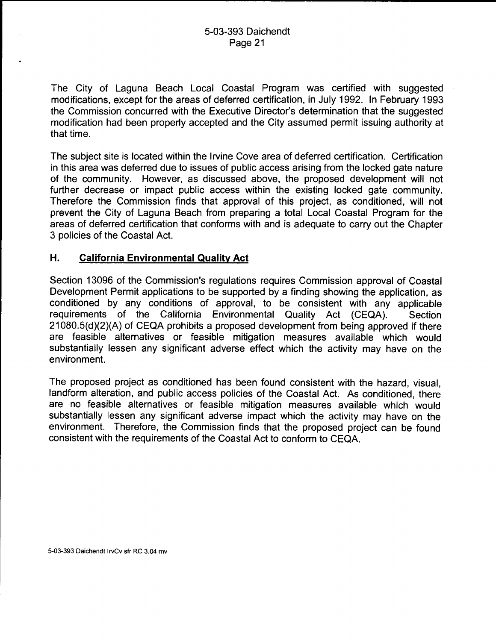The City of Laguna Beach Local Coastal Program was certified with suggested modifications, except for the areas of deferred certification, in July 1992. In February 1993 the Commission concurred with the Executive Director's determination that the suggested modification had been properly accepted and the City assumed permit issuing authority at that time.

The subject site is located within the Irvine Cove area of deferred certification. Certification in this area was deferred due to issues of public access arising from the locked gate nature of the community. However, as discussed above, the proposed development will not further decrease or impact public access within the existing locked gate community. Therefore the Commission finds that approval of this project, as conditioned, will not prevent the City of Laguna Beach from preparing a total Local Coastal Program for the areas of deferred certification that conforms with and is adequate to carry out the Chapter 3 policies of the Coastal Act.

# **H. California Environmental Quality Act**

Section 13096 of the Commission's regulations requires Commission approval of Coastal Development Permit applications to be supported by a finding showing the application, as conditioned by any conditions of approval, to be consistent with any applicable requirements of the California Environmental Quality Act (CEQA). Section 21 080.5(d)(2)(A) of CEQA prohibits a proposed development from being approved if there are feasible alternatives or feasible mitigation measures available which would substantially lessen any significant adverse effect which the activity may have on the environment.

The proposed project as conditioned has been found consistent with the hazard, visual, landform alteration, and public access policies of the Coastal Act. As conditioned, there are no feasible alternatives or feasible mitigation measures available which would substantially lessen any significant adverse impact which the activity may have on the environment. Therefore, the Commission finds that the proposed project can be found consistent with the requirements of the Coastal Act to conform to CEQA.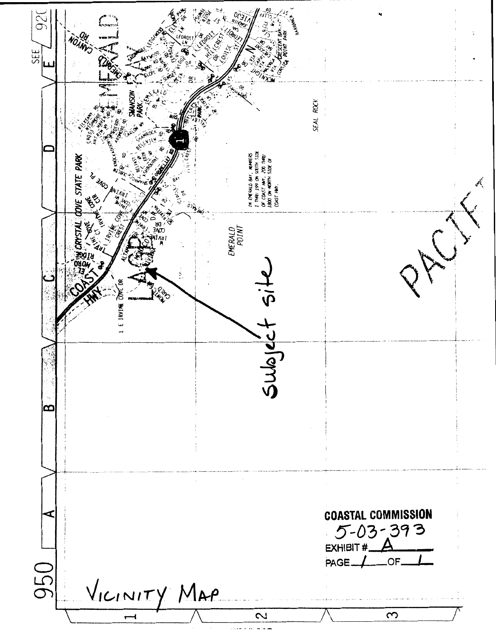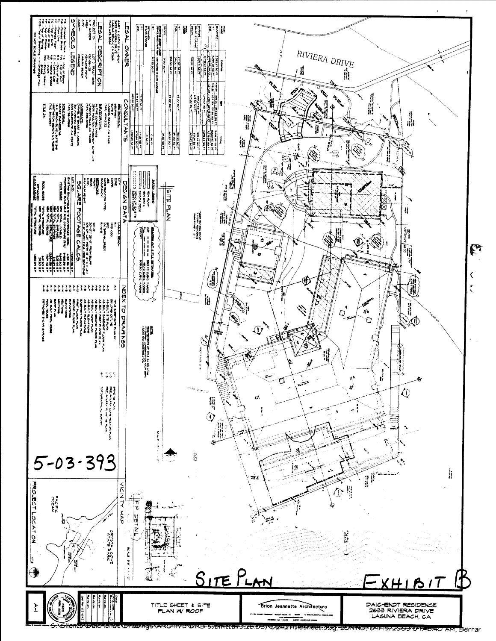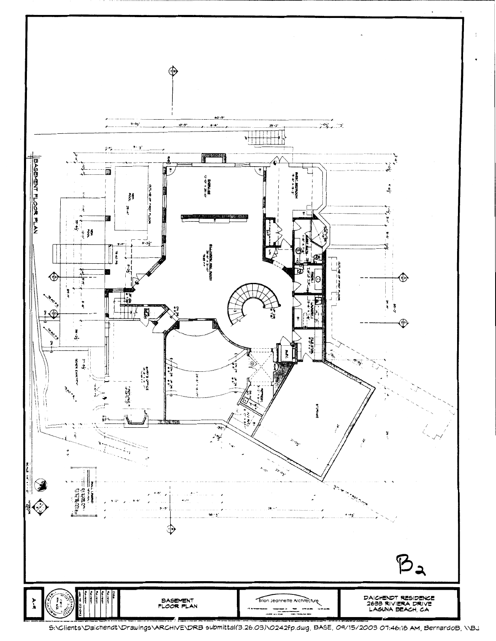

<sup>5:\</sup>Clients\Daichendt\Drawings\ARCHIVE\DRB submittal(3.26.03)\0242fp.dwg, BASE, 09/15/2003 07:46:18 AM, BernardoB, \\BJ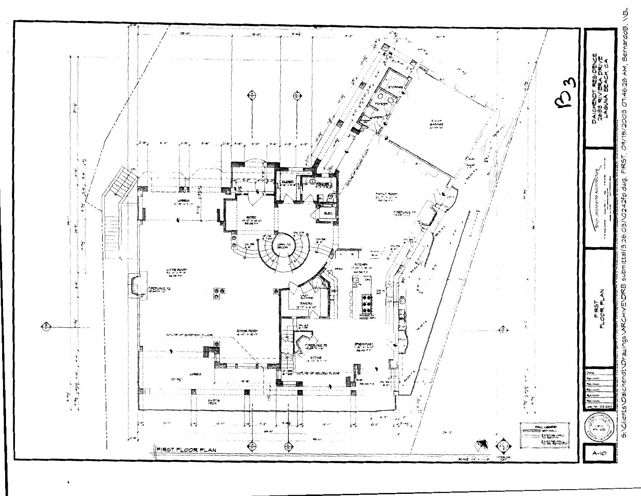

θ O7:46:28 AM, Bernar  $5003$ ۱Г PO RS ς U. i<br>E11 W ğ ш ĝ ğ ä chen

पें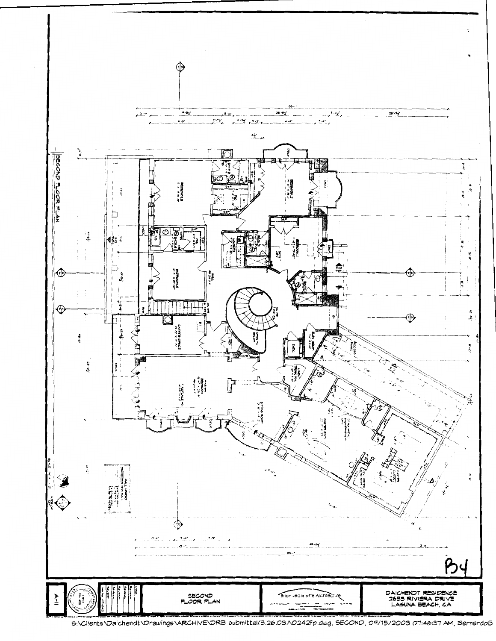

<sup>5:\</sup>Clients\Daichendt\Drawings\ARCHIVE\DRB submittal(3.26.03)\0242fp.dwg, SECOND, 09/15/2003 07:46:37 AM, BernardoB.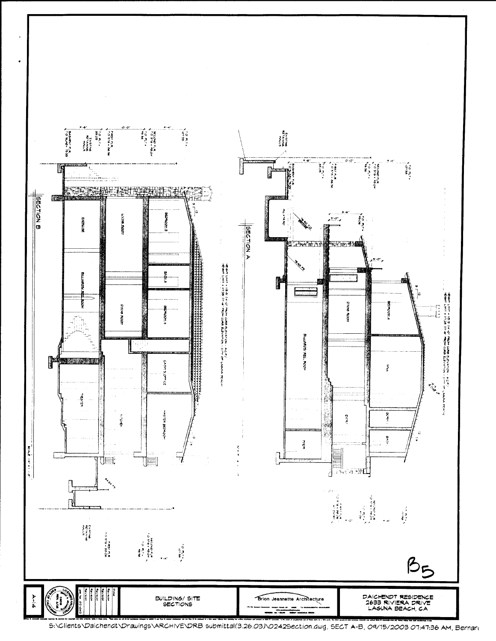

5:\Clients\Daichendt\Drawings\ARCHIVE\DRB submittal(3.26.03)\0242Section.dwg, SECT A-B, 09/15/2003 07:47:36 AM, Bernard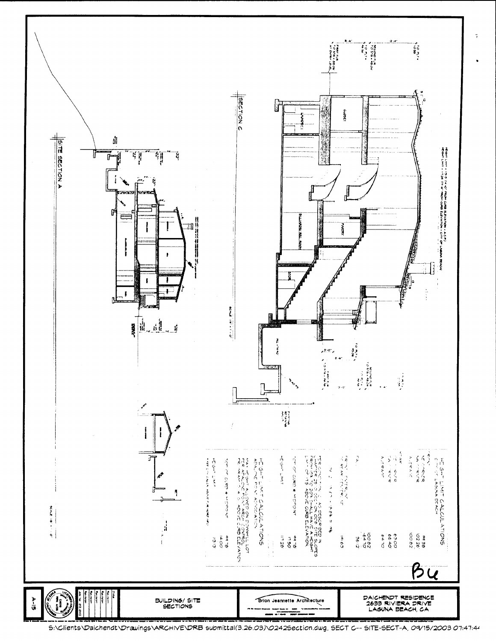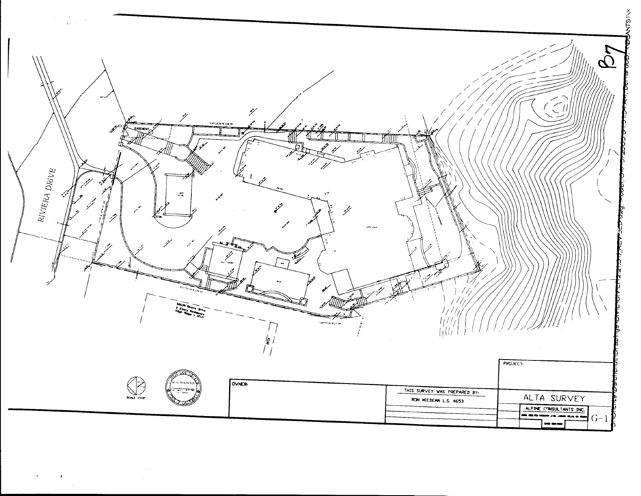

 $\sim$ 

 $\sim$   $\alpha$ 

 $\mathcal{L}$